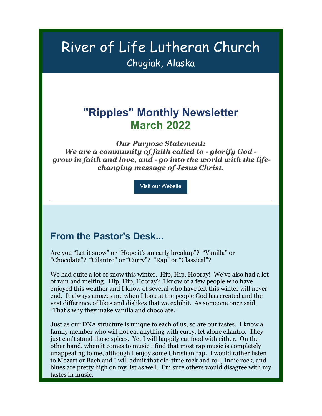# River of Life Lutheran Church Chugiak, Alaska

# **"Ripples" Monthly Newsletter March 2022**

*Our Purpose Statement: We are a community of faith called to - glorify God grow in faith and love, and - go into the world with the lifechanging message of Jesus Christ.*

Visit our Website

### **From the Pastor's Desk...**

Are you "Let it snow" or "Hope it's an early breakup"? "Vanilla" or "Chocolate"? "Cilantro" or "Curry"? "Rap" or "Classical"?

We had quite a lot of snow this winter. Hip, Hip, Hooray! We've also had a lot of rain and melting. Hip, Hip, Hooray? I know of a few people who have enjoyed this weather and I know of several who have felt this winter will never end. It always amazes me when I look at the people God has created and the vast difference of likes and dislikes that we exhibit. As someone once said, "That's why they make vanilla and chocolate."

Just as our DNA structure is unique to each of us, so are our tastes. I know a family member who will not eat anything with curry, let alone cilantro. They just can't stand those spices. Yet I will happily eat food with either. On the other hand, when it comes to music I find that most rap music is completely unappealing to me, although I enjoy some Christian rap. I would rather listen to Mozart or Bach and I will admit that old-time rock and roll, Indie rock, and blues are pretty high on my list as well. I'm sure others would disagree with my tastes in music.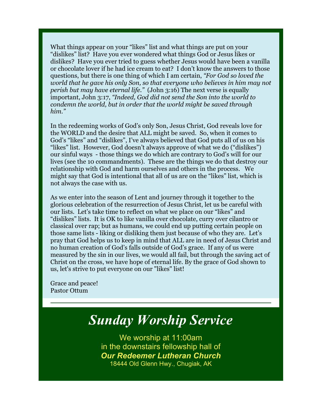What things appear on your "likes" list and what things are put on your "dislikes" list? Have you ever wondered what things God or Jesus likes or dislikes? Have you ever tried to guess whether Jesus would have been a vanilla or chocolate lover if he had ice cream to eat? I don't know the answers to those questions, but there is one thing of which I am certain, *"For God so loved the world that he gave his only Son, so that everyone who believes in him may not perish but may have eternal life."* (John 3:16) The next verse is equally important, John 3:17, *"Indeed, God did not send the Son into the world to condemn the world, but in order that the world might be saved through him."*

In the redeeming works of God's only Son, Jesus Christ, God reveals love for the WORLD and the desire that ALL might be saved. So, when it comes to God's "likes" and "dislikes", I've always believed that God puts all of us on his "likes" list. However, God doesn't always approve of what we do ("dislikes") our sinful ways - those things we do which are contrary to God's will for our lives (see the 10 commandments). These are the things we do that destroy our relationship with God and harm ourselves and others in the process. We might say that God is intentional that all of us are on the "likes" list, which is not always the case with us.

As we enter into the season of Lent and journey through it together to the glorious celebration of the resurrection of Jesus Christ, let us be careful with our lists. Let's take time to reflect on what we place on our "likes" and "dislikes" lists. It is OK to like vanilla over chocolate, curry over cilantro or classical over rap; but as humans, we could end up putting certain people on those same lists - liking or disliking them just because of who they are. Let's pray that God helps us to keep in mind that ALL are in need of Jesus Christ and no human creation of God's falls outside of God's grace. If any of us were measured by the sin in our lives, we would all fail, but through the saving act of Christ on the cross, we have hope of eternal life. By the grace of God shown to us, let's strive to put everyone on our "likes" list!

Grace and peace! Pastor Ottum

# *Sunday Worship Service*

We worship at 11:00am in the downstairs fellowship hall of *Our Redeemer Lutheran Church* 18444 Old Glenn Hwy., Chugiak, AK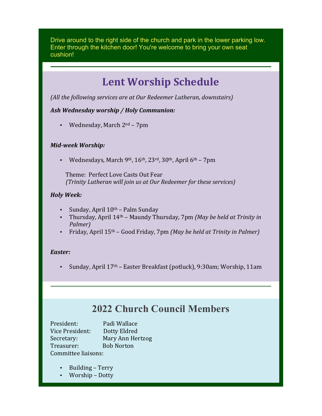Drive around to the right side of the church and park in the lower parking low. Enter through the kitchen door! You're welcome to bring your own seat cushion!

# **Lent Worship Schedule**

(All the following services are at Our Redeemer Lutheran, downstairs)

#### *Ash Wednesday worship / Holy Communion:*

• Wednesday, March  $2^{nd}$  – 7pm

#### *Mid-week Worship:*

Wednesdays, March 9<sup>th</sup>,  $16<sup>th</sup>$ ,  $23<sup>rd</sup>$ ,  $30<sup>th</sup>$ , April  $6<sup>th</sup>$  – 7pm

Theme: Perfect Love Casts Out Fear *(Trinity Lutheran will join us at Our Redeemer for these services)* 

#### *Holy Week:*

- Sunday, April  $10^{th}$  Palm Sunday
- Thursday, April 14<sup>th</sup> Maundy Thursday, 7pm *(May be held at Trinity in*) *Palmer)*
- Friday, April 15<sup>th</sup> Good Friday, 7pm *(May be held at Trinity in Palmer)*

#### *Easter:*

Sunday, April 17<sup>th</sup> – Easter Breakfast (potluck), 9:30am; Worship, 11am

## **2022 Church Council Members**

President: Padi Wallace Vice President: Dotty Eldred Secretary: Mary Ann Hertzog Treasurer: Bob Norton Committee liaisons:

- Building Terry
- Worship Dotty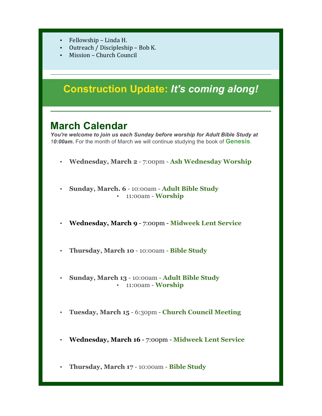- Fellowship Linda H.
- Outreach / Discipleship Bob K.
- Mission Church Council

# **Construction Update:** *It's coming along!*

### **March Calendar**

*You're welcome to join us each Sunday before worship for Adult Bible Study at 10:00am.* For the month of March we will continue studying the book of **Genesis**.

- **Wednesday, March 2** 7:00pm **Ash Wednesday Worship**
- **Sunday, March. 6** 10:00am **Adult Bible Study** • 11:00am - **Worship**
- **Wednesday, March 9** 7:00pm **Midweek Lent Service**
- **Thursday, March 10** 10:00am **Bible Study**
- **Sunday, March 13** 10:00am **Adult Bible Study** • 11:00am - **Worship**
- **Tuesday, March 15** 6:30pm **Church Council Meeting**
- **Wednesday, March 16** 7:00pm **Midweek Lent Service**
- **Thursday, March 17** 10:00am **Bible Study**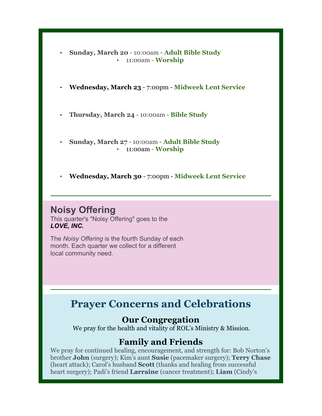- **Sunday, March 20** 10:00am **Adult Bible Study** • 11:00am - **Worship**
- **Wednesday, March 23** 7:00pm **Midweek Lent Service**
- **Thursday, March 24** 10:00am **Bible Study**
- **Sunday, March 27** 10:00am **Adult Bible Study** • 11:00am - **Worship**
- **Wednesday, March 30** 7:00pm **Midweek Lent Service**

### **Noisy Offering**

This quarter's "Noisy Offering" goes to the *LOVE, INC.*

The *Noisy Offering* is the fourth Sunday of each month. Each quarter we collect for a different local community need.

# **Prayer Concerns and Celebrations**

### **Our Congregation**

We pray for the health and vitality of ROL's Ministry & Mission.

### **Family and Friends**

We pray for continued healing, encouragement, and strength for: Bob Norton's brother **John** (surgery); Kim's aunt **Susie** (pacemaker surgery); **Terry Chase** (heart attack); Carol's husband **Scott** (thanks and healing from successful heart surgery); Padi's friend **Larraine** (cancer treatment); **Liam** (Cindy's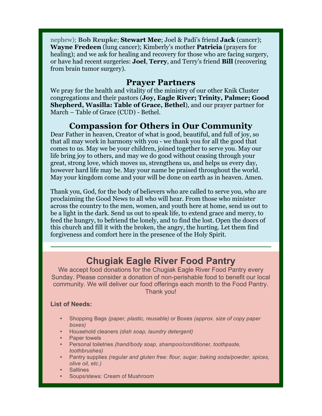nephew); **Bob Reupke**; **Stewart Mee**; Joel & Padi's friend **Jack** (cancer); **Wayne Fredeen** (lung cancer); Kimberly's mother **Patricia** (prayers for healing); and we ask for healing and recovery for those who are facing surgery, or have had recent surgeries: **Joel**, **Terry**, and Terry's friend **Bill** (recovering from brain tumor surgery).

#### **Prayer Partners**

We pray for the health and vitality of the ministry of our other Knik Cluster congregations and their pastors (**Joy, Eagle River; Trinity, Palmer; Good Shepherd, Wasilla: Table of Grace, Bethel**), and our prayer partner for March – Table of Grace (CUD) - Bethel.

### **Compassion for Others in Our Community**

Dear Father in heaven, Creator of what is good, beautiful, and full of joy, so that all may work in harmony with you - we thank you for all the good that comes to us. May we be your children, joined together to serve you. May our life bring joy to others, and may we do good without ceasing through your great, strong love, which moves us, strengthens us, and helps us every day, however hard life may be. May your name be praised throughout the world. May your kingdom come and your will be done on earth as in heaven. Amen.

Thank you, God, for the body of believers who are called to serve you, who are proclaiming the Good News to all who will hear. From those who minister across the country to the men, women, and youth here at home, send us out to be a light in the dark. Send us out to speak life, to extend grace and mercy, to feed the hungry, to befriend the lonely, and to find the lost. Open the doors of this church and fill it with the broken, the angry, the hurting. Let them find forgiveness and comfort here in the presence of the Holy Spirit.

## **Chugiak Eagle River Food Pantry**

We accept food donations for the Chugiak Eagle River Food Pantry every Sunday. Please consider a donation of non-perishable food to benefit our local community. We will deliver our food offerings each month to the Food Pantry. Thank you!

#### **List of Needs:**

- Shopping Bags *(paper, plastic, reusable)* or Boxes *(approx. size of copy paper boxes)*
- Household cleaners *(dish soap, laundry detergent)*
- Paper towels
- Personal toiletries *(hand/body soap, shampoo/conditioner, toothpaste, toothbrushes)*
- Pantry supplies *(regular and gluten free: flour, sugar, baking soda/powder, spices, olive oil, etc.)*
- **Saltines**
- Soups/stews: Cream of Mushroom